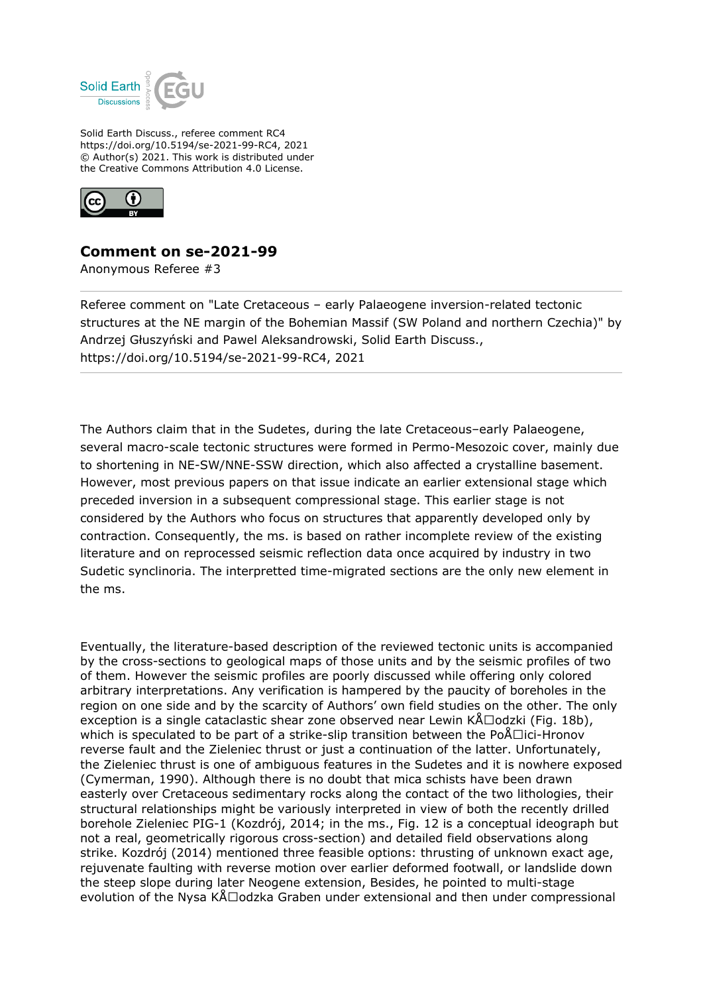

Solid Earth Discuss., referee comment RC4 https://doi.org/10.5194/se-2021-99-RC4, 2021 © Author(s) 2021. This work is distributed under the Creative Commons Attribution 4.0 License.



## **Comment on se-2021-99**

Anonymous Referee #3

Referee comment on "Late Cretaceous – early Palaeogene inversion-related tectonic structures at the NE margin of the Bohemian Massif (SW Poland and northern Czechia)" by Andrzej Głuszyński and Pawel Aleksandrowski, Solid Earth Discuss., https://doi.org/10.5194/se-2021-99-RC4, 2021

The Authors claim that in the Sudetes, during the late Cretaceous–early Palaeogene, several macro-scale tectonic structures were formed in Permo-Mesozoic cover, mainly due to shortening in NE-SW/NNE-SSW direction, which also affected a crystalline basement. However, most previous papers on that issue indicate an earlier extensional stage which preceded inversion in a subsequent compressional stage. This earlier stage is not considered by the Authors who focus on structures that apparently developed only by contraction. Consequently, the ms. is based on rather incomplete review of the existing literature and on reprocessed seismic reflection data once acquired by industry in two Sudetic synclinoria. The interpretted time-migrated sections are the only new element in the ms.

Eventually, the literature-based description of the reviewed tectonic units is accompanied by the cross-sections to geological maps of those units and by the seismic profiles of two of them. However the seismic profiles are poorly discussed while offering only colored arbitrary interpretations. Any verification is hampered by the paucity of boreholes in the region on one side and by the scarcity of Authors' own field studies on the other. The only exception is a single cataclastic shear zone observed near Lewin  $KÅ\square odzki$  (Fig. 18b), which is speculated to be part of a strike-slip transition between the Po $\Lambda$ Dici-Hronov reverse fault and the Zieleniec thrust or just a continuation of the latter. Unfortunately, the Zieleniec thrust is one of ambiguous features in the Sudetes and it is nowhere exposed (Cymerman, 1990). Although there is no doubt that mica schists have been drawn easterly over Cretaceous sedimentary rocks along the contact of the two lithologies, their structural relationships might be variously interpreted in view of both the recently drilled borehole Zieleniec PIG-1 (Kozdrój, 2014; in the ms., Fig. 12 is a conceptual ideograph but not a real, geometrically rigorous cross-section) and detailed field observations along strike. Kozdrój (2014) mentioned three feasible options: thrusting of unknown exact age, rejuvenate faulting with reverse motion over earlier deformed footwall, or landslide down the steep slope during later Neogene extension, Besides, he pointed to multi-stage evolution of the Nysa  $K\Delta\Box$ odzka Graben under extensional and then under compressional